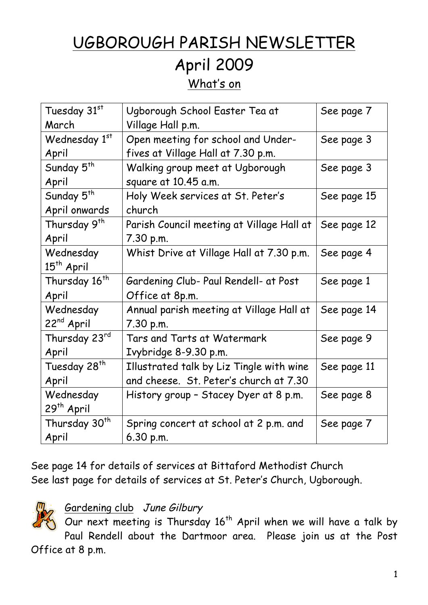# UGBOROUGH PARISH NEWSLETTER April 2009

What's on

| Tuesday 31st              | Ugborough School Easter Tea at            | See page 7  |
|---------------------------|-------------------------------------------|-------------|
| March                     | Village Hall p.m.                         |             |
| Wednesday 1st             | Open meeting for school and Under-        | See page 3  |
| April                     | fives at Village Hall at 7.30 p.m.        |             |
| Sunday 5 <sup>th</sup>    | Walking group meet at Ugborough           | See page 3  |
| April                     | square at 10.45 a.m.                      |             |
| Sunday 5 <sup>th</sup>    | Holy Week services at St. Peter's         | See page 15 |
| April onwards             | church                                    |             |
| Thursday 9 <sup>th</sup>  | Parish Council meeting at Village Hall at | See page 12 |
| April                     | 7.30 p.m.                                 |             |
| Wednesday                 | Whist Drive at Village Hall at 7.30 p.m.  | See page 4  |
| 15 <sup>th</sup> April    |                                           |             |
| Thursday 16 <sup>th</sup> | Gardening Club- Paul Rendell- at Post     | See page 1  |
| April                     | Office at 8p.m.                           |             |
| Wednesday                 | Annual parish meeting at Village Hall at  | See page 14 |
| 22 <sup>nd</sup> April    | 7.30 p.m.                                 |             |
| Thursday 23rd             | Tars and Tarts at Watermark               | See page 9  |
| April                     | Ivybridge 8-9.30 p.m.                     |             |
| Tuesday 28 <sup>th</sup>  | Illustrated talk by Liz Tingle with wine  | See page 11 |
| April                     | and cheese. St. Peter's church at 7.30    |             |
| Wednesday                 | History group - Stacey Dyer at 8 p.m.     | See page 8  |
| 29 <sup>th</sup> April    |                                           |             |
| Thursday 30 <sup>th</sup> | Spring concert at school at 2 p.m. and    | See page 7  |
| April                     | 6.30 p.m.                                 |             |

See page 14 for details of services at Bittaford Methodist Church See last page for details of services at St. Peter's Church, Ugborough.

#### Gardening club June Gilbury

Our next meeting is Thursday  $16^{th}$  April when we will have a talk by Paul Rendell about the Dartmoor area. Please join us at the Post Office at 8 p.m.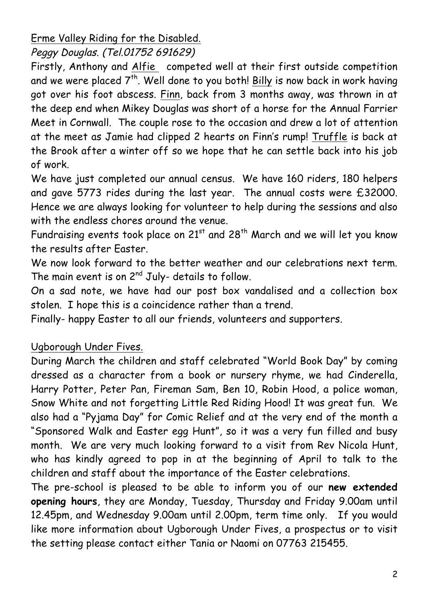Erme Valley Riding for the Disabled.

Peggy Douglas. (Tel.01752 691629)

Firstly, Anthony and Alfie competed well at their first outside competition and we were placed  $7^{th}$ . Well done to you both! Billy is now back in work having got over his foot abscess. Finn, back from 3 months away, was thrown in at the deep end when Mikey Douglas was short of a horse for the Annual Farrier Meet in Cornwall. The couple rose to the occasion and drew a lot of attention at the meet as Jamie had clipped 2 hearts on Finn's rump! Truffle is back at the Brook after a winter off so we hope that he can settle back into his job of work.

We have just completed our annual census. We have 160 riders, 180 helpers and gave 5773 rides during the last year. The annual costs were £32000. Hence we are always looking for volunteer to help during the sessions and also with the endless chores around the venue.

Fundraising events took place on  $21^{st}$  and  $28^{th}$  March and we will let you know the results after Easter.

We now look forward to the better weather and our celebrations next term. The main event is on  $2^{nd}$  July- details to follow.

On a sad note, we have had our post box vandalised and a collection box stolen. I hope this is a coincidence rather than a trend.

Finally- happy Easter to all our friends, volunteers and supporters.

Ugborough Under Fives.

During March the children and staff celebrated "World Book Day" by coming dressed as a character from a book or nursery rhyme, we had Cinderella, Harry Potter, Peter Pan, Fireman Sam, Ben 10, Robin Hood, a police woman, Snow White and not forgetting Little Red Riding Hood! It was great fun. We also had a "Pyjama Day" for Comic Relief and at the very end of the month a "Sponsored Walk and Easter egg Hunt", so it was a very fun filled and busy month. We are very much looking forward to a visit from Rev Nicola Hunt, who has kindly agreed to pop in at the beginning of April to talk to the children and staff about the importance of the Easter celebrations.

The pre-school is pleased to be able to inform you of our **new extended opening hours**, they are Monday, Tuesday, Thursday and Friday 9.00am until 12.45pm, and Wednesday 9.00am until 2.00pm, term time only. If you would like more information about Ugborough Under Fives, a prospectus or to visit the setting please contact either Tania or Naomi on 07763 215455.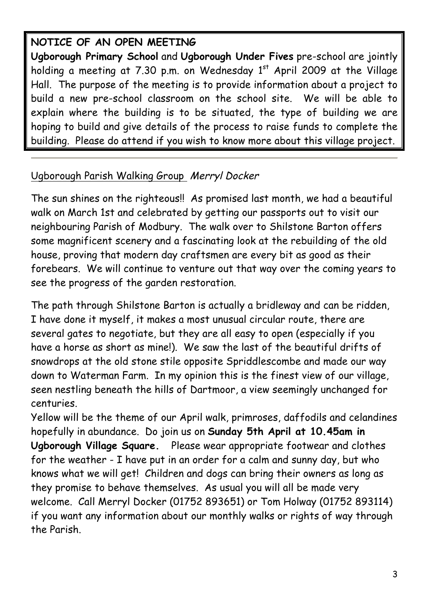### **NOTICE OF AN OPEN MEETING**

**Ugborough Primary School** and **Ugborough Under Fives** pre-school are jointly holding a meeting at 7.30 p.m. on Wednesday  $1<sup>st</sup>$  April 2009 at the Village Hall. The purpose of the meeting is to provide information about a project to build a new pre-school classroom on the school site. We will be able to explain where the building is to be situated, the type of building we are hoping to build and give details of the process to raise funds to complete the building. Please do attend if you wish to know more about this village project.

#### Ugborough Parish Walking Group Merryl Docker

The sun shines on the righteous!! As promised last month, we had a beautiful walk on March 1st and celebrated by getting our passports out to visit our neighbouring Parish of Modbury. The walk over to Shilstone Barton offers some magnificent scenery and a fascinating look at the rebuilding of the old house, proving that modern day craftsmen are every bit as good as their forebears. We will continue to venture out that way over the coming years to see the progress of the garden restoration.

The path through Shilstone Barton is actually a bridleway and can be ridden, I have done it myself, it makes a most unusual circular route, there are several gates to negotiate, but they are all easy to open (especially if you have a horse as short as mine!). We saw the last of the beautiful drifts of snowdrops at the old stone stile opposite Spriddlescombe and made our way down to Waterman Farm. In my opinion this is the finest view of our village, seen nestling beneath the hills of Dartmoor, a view seemingly unchanged for centuries.

Yellow will be the theme of our April walk, primroses, daffodils and celandines hopefully in abundance. Do join us on **Sunday 5th April at 10.45am in Ugborough Village Square.** Please wear appropriate footwear and clothes for the weather - I have put in an order for a calm and sunny day, but who knows what we will get! Children and dogs can bring their owners as long as they promise to behave themselves. As usual you will all be made very welcome. Call Merryl Docker (01752 893651) or Tom Holway (01752 893114) if you want any information about our monthly walks or rights of way through the Parish.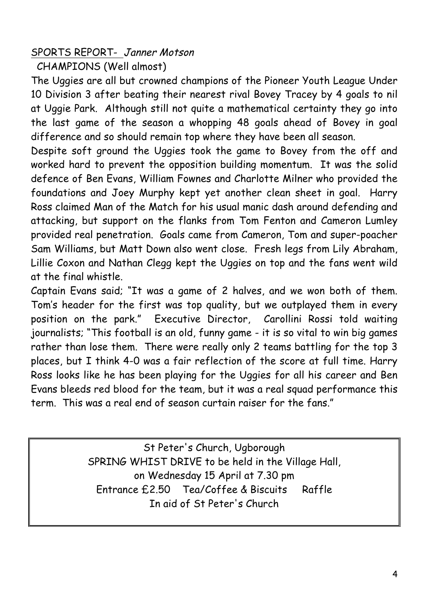#### SPORTS REPORT- Janner Motson

CHAMPIONS (Well almost)

The Uggies are all but crowned champions of the Pioneer Youth League Under 10 Division 3 after beating their nearest rival Bovey Tracey by 4 goals to nil at Uggie Park. Although still not quite a mathematical certainty they go into the last game of the season a whopping 48 goals ahead of Bovey in goal difference and so should remain top where they have been all season.

Despite soft ground the Uggies took the game to Bovey from the off and worked hard to prevent the opposition building momentum. It was the solid defence of Ben Evans, William Fownes and Charlotte Milner who provided the foundations and Joey Murphy kept yet another clean sheet in goal. Harry Ross claimed Man of the Match for his usual manic dash around defending and attacking, but support on the flanks from Tom Fenton and Cameron Lumley provided real penetration. Goals came from Cameron, Tom and super-poacher Sam Williams, but Matt Down also went close. Fresh legs from Lily Abraham, Lillie Coxon and Nathan Clegg kept the Uggies on top and the fans went wild at the final whistle.

Captain Evans said; "It was a game of 2 halves, and we won both of them. Tom's header for the first was top quality, but we outplayed them in every position on the park." Executive Director, Carollini Rossi told waiting journalists; "This football is an old, funny game - it is so vital to win big games rather than lose them. There were really only 2 teams battling for the top 3 places, but I think 4-0 was a fair reflection of the score at full time. Harry Ross looks like he has been playing for the Uggies for all his career and Ben Evans bleeds red blood for the team, but it was a real squad performance this term. This was a real end of season curtain raiser for the fans."

> St Peter's Church, Ugborough SPRING WHIST DRIVE to be held in the Village Hall, on Wednesday 15 April at 7.30 pm Entrance £2.50 Tea/Coffee & Biscuits Raffle In aid of St Peter's Church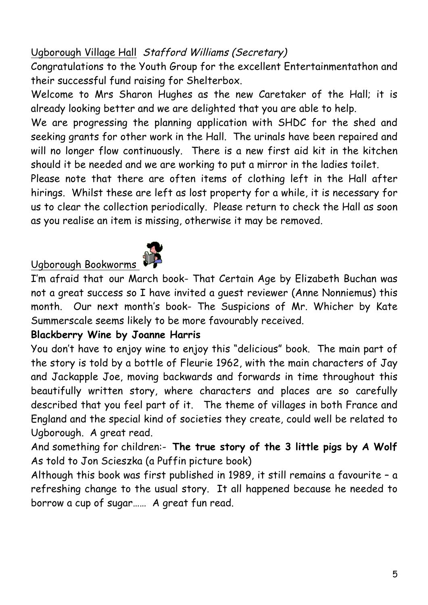### Ugborough Village Hall Stafford Williams (Secretary)

Congratulations to the Youth Group for the excellent Entertainmentathon and their successful fund raising for Shelterbox.

Welcome to Mrs Sharon Hughes as the new Caretaker of the Hall; it is already looking better and we are delighted that you are able to help.

We are progressing the planning application with SHDC for the shed and seeking grants for other work in the Hall. The urinals have been repaired and will no longer flow continuously. There is a new first aid kit in the kitchen should it be needed and we are working to put a mirror in the ladies toilet.

Please note that there are often items of clothing left in the Hall after hirings. Whilst these are left as lost property for a while, it is necessary for us to clear the collection periodically. Please return to check the Hall as soon as you realise an item is missing, otherwise it may be removed.



# Ugborough Bookworms

I'm afraid that our March book- That Certain Age by Elizabeth Buchan was not a great success so I have invited a guest reviewer (Anne Nonniemus) this month. Our next month's book- The Suspicions of Mr. Whicher by Kate Summerscale seems likely to be more favourably received.

#### **Blackberry Wine by Joanne Harris**

You don't have to enjoy wine to enjoy this "delicious" book. The main part of the story is told by a bottle of Fleurie 1962, with the main characters of Jay and Jackapple Joe, moving backwards and forwards in time throughout this beautifully written story, where characters and places are so carefully described that you feel part of it. The theme of villages in both France and England and the special kind of societies they create, could well be related to Ugborough. A great read.

And something for children:- **The true story of the 3 little pigs by A Wolf** As told to Jon Scieszka (a Puffin picture book)

Although this book was first published in 1989, it still remains a favourite – a refreshing change to the usual story. It all happened because he needed to borrow a cup of sugar…… A great fun read.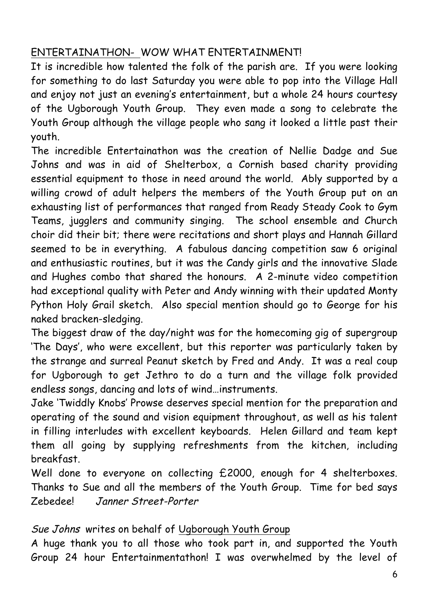#### ENTERTAINATHON- WOW WHAT ENTERTAINMENT!

It is incredible how talented the folk of the parish are. If you were looking for something to do last Saturday you were able to pop into the Village Hall and enjoy not just an evening's entertainment, but a whole 24 hours courtesy of the Ugborough Youth Group. They even made a song to celebrate the Youth Group although the village people who sang it looked a little past their youth.

The incredible Entertainathon was the creation of Nellie Dadge and Sue Johns and was in aid of Shelterbox, a Cornish based charity providing essential equipment to those in need around the world. Ably supported by a willing crowd of adult helpers the members of the Youth Group put on an exhausting list of performances that ranged from Ready Steady Cook to Gym Teams, jugglers and community singing. The school ensemble and Church choir did their bit; there were recitations and short plays and Hannah Gillard seemed to be in everything. A fabulous dancing competition saw 6 original and enthusiastic routines, but it was the Candy girls and the innovative Slade and Hughes combo that shared the honours. A 2-minute video competition had exceptional quality with Peter and Andy winning with their updated Monty Python Holy Grail sketch. Also special mention should go to George for his naked bracken-sledging.

The biggest draw of the day/night was for the homecoming gig of supergroup 'The Days', who were excellent, but this reporter was particularly taken by the strange and surreal Peanut sketch by Fred and Andy. It was a real coup for Ugborough to get Jethro to do a turn and the village folk provided endless songs, dancing and lots of wind…instruments.

Jake 'Twiddly Knobs' Prowse deserves special mention for the preparation and operating of the sound and vision equipment throughout, as well as his talent in filling interludes with excellent keyboards. Helen Gillard and team kept them all going by supplying refreshments from the kitchen, including breakfast.

Well done to everyone on collecting £2000, enough for 4 shelterboxes. Thanks to Sue and all the members of the Youth Group. Time for bed says Zebedee! Janner Street-Porter

Sue Johns writes on behalf of Ugborough Youth Group

A huge thank you to all those who took part in, and supported the Youth Group 24 hour Entertainmentathon! I was overwhelmed by the level of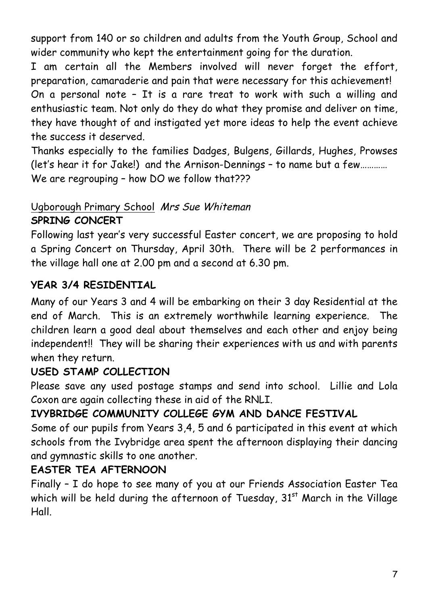support from 140 or so children and adults from the Youth Group, School and wider community who kept the entertainment going for the duration.

I am certain all the Members involved will never forget the effort, preparation, camaraderie and pain that were necessary for this achievement! On a personal note – It is a rare treat to work with such a willing and enthusiastic team. Not only do they do what they promise and deliver on time, they have thought of and instigated yet more ideas to help the event achieve the success it deserved.

Thanks especially to the families Dadges, Bulgens, Gillards, Hughes, Prowses (let's hear it for Jake!) and the Arnison-Dennings – to name but a few………… We are regrouping - how DO we follow that???

#### Ugborough Primary School Mrs Sue Whiteman **SPRING CONCERT**

Following last year's very successful Easter concert, we are proposing to hold a Spring Concert on Thursday, April 30th. There will be 2 performances in the village hall one at 2.00 pm and a second at 6.30 pm.

#### **YEAR 3/4 RESIDENTIAL**

Many of our Years 3 and 4 will be embarking on their 3 day Residential at the end of March. This is an extremely worthwhile learning experience. The children learn a good deal about themselves and each other and enjoy being independent!! They will be sharing their experiences with us and with parents when they return.

#### **USED STAMP COLLECTION**

Please save any used postage stamps and send into school. Lillie and Lola Coxon are again collecting these in aid of the RNLI.

### **IVYBRIDGE COMMUNITY COLLEGE GYM AND DANCE FESTIVAL**

Some of our pupils from Years 3,4, 5 and 6 participated in this event at which schools from the Ivybridge area spent the afternoon displaying their dancing and gymnastic skills to one another.

#### **EASTER TEA AFTERNOON**

Finally – I do hope to see many of you at our Friends Association Easter Tea which will be held during the afternoon of Tuesday,  $31<sup>st</sup>$  March in the Village Hall.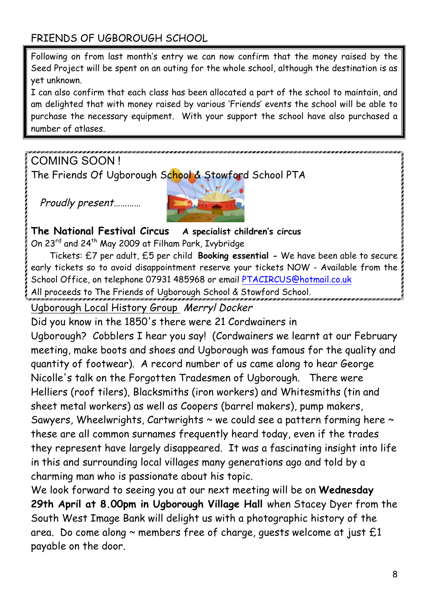#### FRIENDS OF UGBOROUGH SCHOOL

Following on from last month's entry we can now confirm that the money raised by the Seed Project will be spent on an outing for the whole school, although the destination is as yet unknown.

I can also confirm that each class has been allocated a part of the school to maintain, and am delighted that with money raised by various 'Friends' events the school will be able to purchase the necessary equipment. With your support the school have also purchased a number of atlases.

COMING SOON !

The Friends Of Ugborough School & Stowford School PTA

Proudly present…………



**The National Festival Circus A specialist children's circus** On 23<sup>rd</sup> and 24<sup>th</sup> May 2009 at Filham Park, Ivybridge

Tickets: £7 per adult, £5 per child **Booking essential -** We have been able to secure early tickets so to avoid disappointment reserve your tickets NOW - Available from the School Office, on telephone 07931 485968 or email PTACIRCUS@hotmail.co.uk All proceeds to The Friends of Ugborough School & Stowford School.

Ugborough Local History Group Merryl Docker

Did you know in the 1850's there were 21 Cordwainers in Ugborough? Cobblers I hear you say! (Cordwainers we learnt at our February meeting, make boots and shoes and Ugborough was famous for the quality and quantity of footwear). A record number of us came along to hear George Nicolle's talk on the Forgotten Tradesmen of Ugborough. There were Helliers (roof tilers), Blacksmiths (iron workers) and Whitesmiths (tin and sheet metal workers) as well as Coopers (barrel makers), pump makers, Sawyers, Wheelwrights, Cartwrights  $\sim$  we could see a pattern forming here  $\sim$ these are all common surnames frequently heard today, even if the trades they represent have largely disappeared. It was a fascinating insight into life in this and surrounding local villages many generations ago and told by a charming man who is passionate about his topic.

We look forward to seeing you at our next meeting will be on **Wednesday 29th April at 8.00pm in Ugborough Village Hall** when Stacey Dyer from the South West Image Bank will delight us with a photographic history of the area. Do come along  $\sim$  members free of charge, quests welcome at just  $£1$ payable on the door.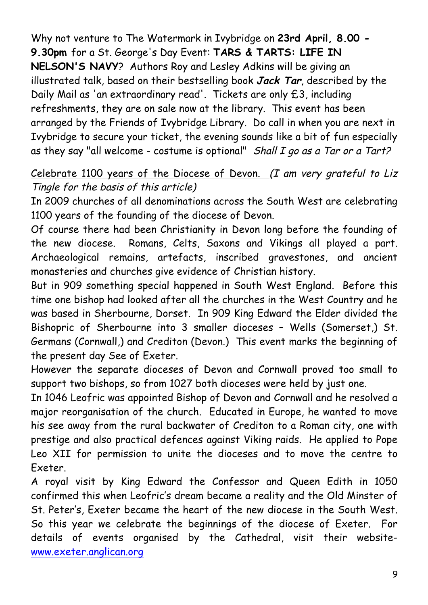Why not venture to The Watermark in Ivybridge on **23rd April, 8.00 - 9.30pm** for a St. George's Day Event: **TARS & TARTS: LIFE IN NELSON'S NAVY**? Authors Roy and Lesley Adkins will be giving an illustrated talk, based on their bestselling book **Jack Tar**, described by the Daily Mail as 'an extraordinary read'. Tickets are only £3, including refreshments, they are on sale now at the library. This event has been arranged by the Friends of Ivybridge Library. Do call in when you are next in Ivybridge to secure your ticket, the evening sounds like a bit of fun especially as they say "all welcome - costume is optional" Shall  $I$  go as a Tar or a Tart?

#### Celebrate 1100 years of the Diocese of Devon. (I am very grateful to Liz Tingle for the basis of this article)

In 2009 churches of all denominations across the South West are celebrating 1100 years of the founding of the diocese of Devon.

Of course there had been Christianity in Devon long before the founding of the new diocese. Romans, Celts, Saxons and Vikings all played a part. Archaeological remains, artefacts, inscribed gravestones, and ancient monasteries and churches give evidence of Christian history.

But in 909 something special happened in South West England. Before this time one bishop had looked after all the churches in the West Country and he was based in Sherbourne, Dorset. In 909 King Edward the Elder divided the Bishopric of Sherbourne into 3 smaller dioceses – Wells (Somerset,) St. Germans (Cornwall,) and Crediton (Devon.) This event marks the beginning of the present day See of Exeter.

However the separate dioceses of Devon and Cornwall proved too small to support two bishops, so from 1027 both dioceses were held by just one.

In 1046 Leofric was appointed Bishop of Devon and Cornwall and he resolved a major reorganisation of the church. Educated in Europe, he wanted to move his see away from the rural backwater of Crediton to a Roman city, one with prestige and also practical defences against Viking raids. He applied to Pope Leo XII for permission to unite the dioceses and to move the centre to Exeter.

A royal visit by King Edward the Confessor and Queen Edith in 1050 confirmed this when Leofric's dream became a reality and the Old Minster of St. Peter's, Exeter became the heart of the new diocese in the South West. So this year we celebrate the beginnings of the diocese of Exeter. For details of events organised by the Cathedral, visit their websitewww.exeter.anglican.org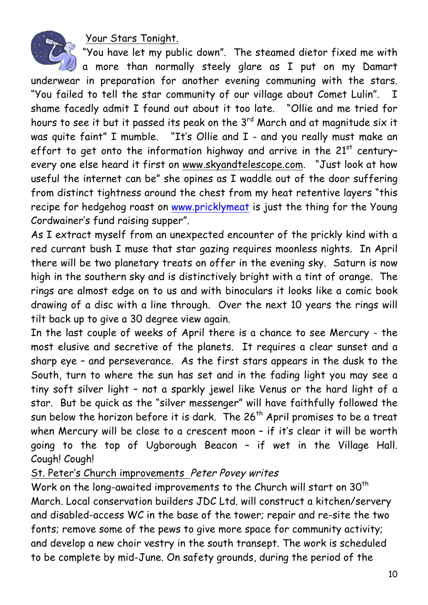Your Stars Tonight.



"You have let my public down". The steamed dietor fixed me with

 $\mathbb Z$  a more than normally steely glare as I put on my Damart underwear in preparation for another evening communing with the stars. "You failed to tell the star community of our village about Comet Lulin". I shame facedly admit I found out about it too late. "Ollie and me tried for hours to see it but it passed its peak on the 3<sup>rd</sup> March and at magnitude six it was quite faint" I mumble. "It's Ollie and I - and you really must make an effort to get onto the information highway and arrive in the  $21<sup>st</sup>$  centuryevery one else heard it first on www.skyandtelescope.com. "Just look at how useful the internet can be" she opines as I waddle out of the door suffering from distinct tightness around the chest from my heat retentive layers "this recipe for hedgehog roast on www.pricklymeat is just the thing for the Young Cordwainer's fund raising supper".

As I extract myself from an unexpected encounter of the prickly kind with a red currant bush I muse that star gazing requires moonless nights. In April there will be two planetary treats on offer in the evening sky. Saturn is now high in the southern sky and is distinctively bright with a tint of orange. The rings are almost edge on to us and with binoculars it looks like a comic book drawing of a disc with a line through. Over the next 10 years the rings will tilt back up to give a 30 degree view again.

In the last couple of weeks of April there is a chance to see Mercury - the most elusive and secretive of the planets. It requires a clear sunset and a sharp eye – and perseverance. As the first stars appears in the dusk to the South, turn to where the sun has set and in the fading light you may see a tiny soft silver light – not a sparkly jewel like Venus or the hard light of a star. But be quick as the "silver messenger" will have faithfully followed the sun below the horizon before it is dark. The 26<sup>th</sup> April promises to be a treat when Mercury will be close to a crescent moon - if it's clear it will be worth going to the top of Ugborough Beacon – if wet in the Village Hall. Cough! Cough!

#### St. Peter's Church improvements Peter Povey writes

Work on the long-awaited improvements to the Church will start on 30<sup>th</sup> March. Local conservation builders JDC Ltd. will construct a kitchen/servery and disabled-access WC in the base of the tower; repair and re-site the two fonts; remove some of the pews to give more space for community activity; and develop a new choir vestry in the south transept. The work is scheduled to be complete by mid-June. On safety grounds, during the period of the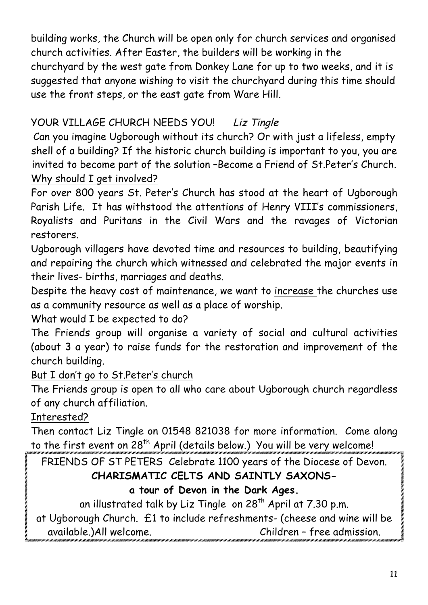building works, the Church will be open only for church services and organised church activities. After Easter, the builders will be working in the churchyard by the west gate from Donkey Lane for up to two weeks, and it is suggested that anyone wishing to visit the churchyard during this time should use the front steps, or the east gate from Ware Hill.

## YOUR VILLAGE CHURCH NEEDS YOU! Liz Tingle

Can you imagine Ugborough without its church? Or with just a lifeless, empty shell of a building? If the historic church building is important to you, you are invited to become part of the solution –Become a Friend of St.Peter's Church. Why should I get involved?

For over 800 years St. Peter's Church has stood at the heart of Ugborough Parish Life. It has withstood the attentions of Henry VIII's commissioners, Royalists and Puritans in the Civil Wars and the ravages of Victorian restorers.

Ugborough villagers have devoted time and resources to building, beautifying and repairing the church which witnessed and celebrated the major events in their lives- births, marriages and deaths.

Despite the heavy cost of maintenance, we want to increase the churches use as a community resource as well as a place of worship.

#### What would I be expected to do?

The Friends group will organise a variety of social and cultural activities (about 3 a year) to raise funds for the restoration and improvement of the church building.

#### But I don't go to St.Peter's church

The Friends group is open to all who care about Ugborough church regardless of any church affiliation.

#### Interested?

Then contact Liz Tingle on 01548 821038 for more information. Come along to the first event on 28<sup>th</sup> April (details below.) You will be very welcome!

FRIENDS OF ST PETERS Celebrate 1100 years of the Diocese of Devon.

# **CHARISMATIC CELTS AND SAINTLY SAXONS-**

### **a tour of Devon in the Dark Ages.**

an illustrated talk by Liz Tingle on  $28<sup>th</sup>$  April at 7.30 p.m.

at Ugborough Church. £1 to include refreshments- (cheese and wine will be available.)All welcome. Children – free admission.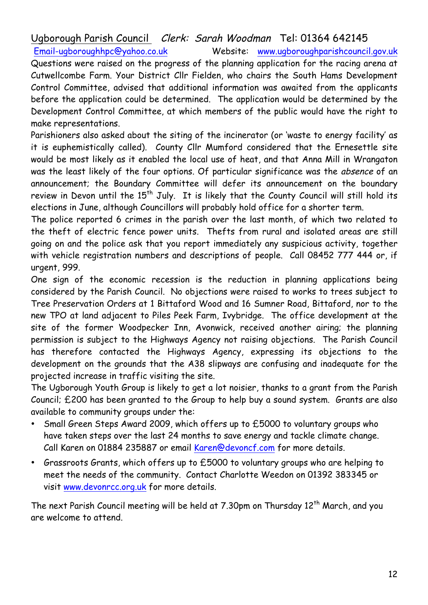#### Ugborough Parish Council Clerk: Sarah Woodman Tel: 01364 642145

Email-ugboroughhpc@yahoo.co.uk Website: www.ugboroughparishcouncil.gov.uk Questions were raised on the progress of the planning application for the racing arena at Cutwellcombe Farm. Your District Cllr Fielden, who chairs the South Hams Development Control Committee, advised that additional information was awaited from the applicants before the application could be determined. The application would be determined by the Development Control Committee, at which members of the public would have the right to make representations.

Parishioners also asked about the siting of the incinerator (or 'waste to energy facility' as it is euphemistically called). County Cllr Mumford considered that the Ernesettle site would be most likely as it enabled the local use of heat, and that Anna Mill in Wrangaton was the least likely of the four options. Of particular significance was the absence of an announcement; the Boundary Committee will defer its announcement on the boundary review in Devon until the  $15<sup>th</sup>$  July. It is likely that the County Council will still hold its elections in June, although Councillors will probably hold office for a shorter term.

The police reported 6 crimes in the parish over the last month, of which two related to the theft of electric fence power units. Thefts from rural and isolated areas are still going on and the police ask that you report immediately any suspicious activity, together with vehicle registration numbers and descriptions of people. Call 08452 777 444 or, if urgent, 999.

One sign of the economic recession is the reduction in planning applications being considered by the Parish Council. No objections were raised to works to trees subject to Tree Preservation Orders at 1 Bittaford Wood and 16 Sumner Road, Bittaford, nor to the new TPO at land adjacent to Piles Peek Farm, Ivybridge. The office development at the site of the former Woodpecker Inn, Avonwick, received another airing; the planning permission is subject to the Highways Agency not raising objections. The Parish Council has therefore contacted the Highways Agency, expressing its objections to the development on the grounds that the A38 slipways are confusing and inadequate for the projected increase in traffic visiting the site.

The Ugborough Youth Group is likely to get a lot noisier, thanks to a grant from the Parish Council; £200 has been granted to the Group to help buy a sound system. Grants are also available to community groups under the:

- Small Green Steps Award 2009, which offers up to £5000 to voluntary groups who have taken steps over the last 24 months to save energy and tackle climate change. Call Karen on 01884 235887 or email Karen@devoncf.com for more details.
- Grassroots Grants, which offers up to £5000 to voluntary groups who are helping to meet the needs of the community. Contact Charlotte Weedon on 01392 383345 or visit www.devonrcc.org.uk for more details.

The next Parish Council meeting will be held at  $7.30$ pm on Thursday  $12<sup>th</sup>$  March, and you are welcome to attend.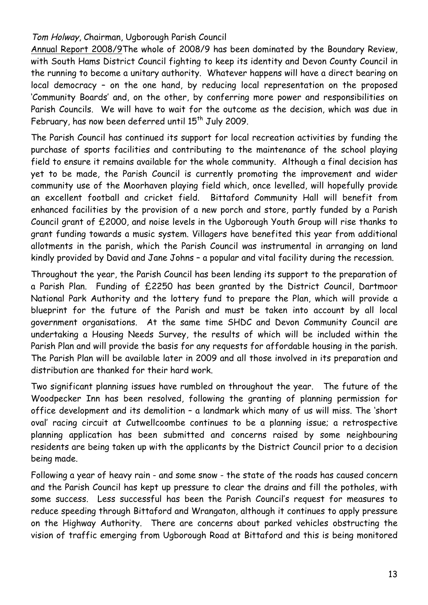#### Tom Holway, Chairman, Ugborough Parish Council

Annual Report 2008/9The whole of 2008/9 has been dominated by the Boundary Review, with South Hams District Council fighting to keep its identity and Devon County Council in the running to become a unitary authority. Whatever happens will have a direct bearing on local democracy – on the one hand, by reducing local representation on the proposed 'Community Boards' and, on the other, by conferring more power and responsibilities on Parish Councils. We will have to wait for the outcome as the decision, which was due in February, has now been deferred until 15<sup>th</sup> July 2009.

The Parish Council has continued its support for local recreation activities by funding the purchase of sports facilities and contributing to the maintenance of the school playing field to ensure it remains available for the whole community. Although a final decision has yet to be made, the Parish Council is currently promoting the improvement and wider community use of the Moorhaven playing field which, once levelled, will hopefully provide an excellent football and cricket field. Bittaford Community Hall will benefit from enhanced facilities by the provision of a new porch and store, partly funded by a Parish Council grant of £2000, and noise levels in the Ugborough Youth Group will rise thanks to grant funding towards a music system. Villagers have benefited this year from additional allotments in the parish, which the Parish Council was instrumental in arranging on land kindly provided by David and Jane Johns – a popular and vital facility during the recession.

Throughout the year, the Parish Council has been lending its support to the preparation of a Parish Plan. Funding of £2250 has been granted by the District Council, Dartmoor National Park Authority and the lottery fund to prepare the Plan, which will provide a blueprint for the future of the Parish and must be taken into account by all local government organisations. At the same time SHDC and Devon Community Council are undertaking a Housing Needs Survey, the results of which will be included within the Parish Plan and will provide the basis for any requests for affordable housing in the parish. The Parish Plan will be available later in 2009 and all those involved in its preparation and distribution are thanked for their hard work.

Two significant planning issues have rumbled on throughout the year. The future of the Woodpecker Inn has been resolved, following the granting of planning permission for office development and its demolition – a landmark which many of us will miss. The 'short oval' racing circuit at Cutwellcoombe continues to be a planning issue; a retrospective planning application has been submitted and concerns raised by some neighbouring residents are being taken up with the applicants by the District Council prior to a decision being made.

Following a year of heavy rain - and some snow - the state of the roads has caused concern and the Parish Council has kept up pressure to clear the drains and fill the potholes, with some success. Less successful has been the Parish Council's request for measures to reduce speeding through Bittaford and Wrangaton, although it continues to apply pressure on the Highway Authority. There are concerns about parked vehicles obstructing the vision of traffic emerging from Ugborough Road at Bittaford and this is being monitored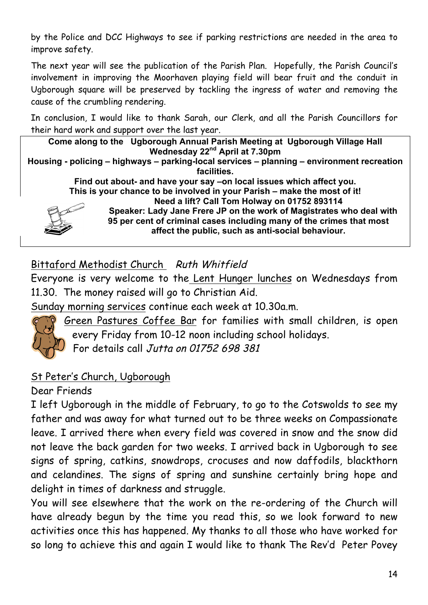by the Police and DCC Highways to see if parking restrictions are needed in the area to improve safety.

The next year will see the publication of the Parish Plan. Hopefully, the Parish Council's involvement in improving the Moorhaven playing field will bear fruit and the conduit in Ugborough square will be preserved by tackling the ingress of water and removing the cause of the crumbling rendering.

In conclusion, I would like to thank Sarah, our Clerk, and all the Parish Councillors for their hard work and support over the last year.

**Come along to the Ugborough Annual Parish Meeting at Ugborough Village Hall Wednesday 22nd April at 7.30pm Housing - policing – highways – parking-local services – planning – environment recreation facilities. Find out about- and have your say –on local issues which affect you. This is your chance to be involved in your Parish – make the most of it! Need a lift? Call Tom Holway on 01752 893114 Speaker: Lady Jane Frere JP on the work of Magistrates who deal with 95 per cent of criminal cases including many of the crimes that most affect the public, such as anti-social behaviour.**

Bittaford Methodist Church Ruth Whitfield

Everyone is very welcome to the Lent Hunger lunches on Wednesdays from 11.30. The money raised will go to Christian Aid.

Sunday morning services continue each week at 10.30a.m.



Green Pastures Coffee Bar for families with small children, is open every Friday from 10-12 noon including school holidays.

For details call Jutta on 01752 698 381

#### St Peter's Church, Ugborough

Dear Friends

I left Ugborough in the middle of February, to go to the Cotswolds to see my father and was away for what turned out to be three weeks on Compassionate leave. I arrived there when every field was covered in snow and the snow did not leave the back garden for two weeks. I arrived back in Ugborough to see signs of spring, catkins, snowdrops, crocuses and now daffodils, blackthorn and celandines. The signs of spring and sunshine certainly bring hope and delight in times of darkness and struggle.

You will see elsewhere that the work on the re-ordering of the Church will have already begun by the time you read this, so we look forward to new activities once this has happened. My thanks to all those who have worked for so long to achieve this and again I would like to thank The Rev'd Peter Povey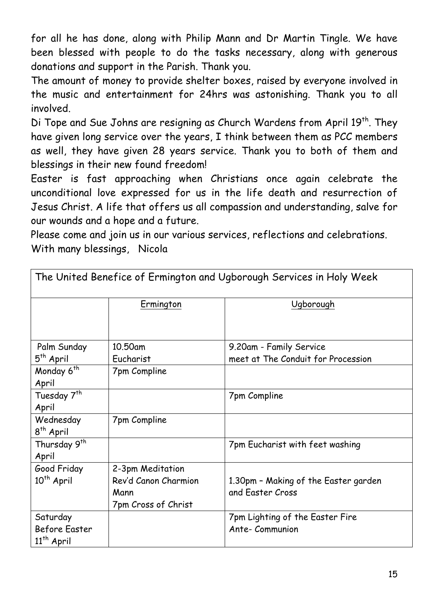for all he has done, along with Philip Mann and Dr Martin Tingle. We have been blessed with people to do the tasks necessary, along with generous donations and support in the Parish. Thank you.

The amount of money to provide shelter boxes, raised by everyone involved in the music and entertainment for 24hrs was astonishing. Thank you to all involved.

Di Tope and Sue Johns are resigning as Church Wardens from April 19<sup>th</sup>. They have given long service over the years, I think between them as PCC members as well, they have given 28 years service. Thank you to both of them and blessings in their new found freedom!

Easter is fast approaching when Christians once again celebrate the unconditional love expressed for us in the life death and resurrection of Jesus Christ. A life that offers us all compassion and understanding, salve for our wounds and a hope and a future.

Please come and join us in our various services, reflections and celebrations. With many blessings, Nicola

The United Benefice of Ermington and Ugborough Services in Holy Week

| The United Denefice of Chinington and Ogborough Oct vices in Flory Ween |                      |                                      |  |  |
|-------------------------------------------------------------------------|----------------------|--------------------------------------|--|--|
|                                                                         | Ermington            | Ugborough                            |  |  |
|                                                                         |                      |                                      |  |  |
| Palm Sunday                                                             | 10.50am              | 9.20am - Family Service              |  |  |
| $5th$ April                                                             | Eucharist            | meet at The Conduit for Procession   |  |  |
| Monday 6 <sup>th</sup>                                                  | 7pm Compline         |                                      |  |  |
| April                                                                   |                      |                                      |  |  |
| Tuesday 7 <sup>th</sup>                                                 |                      | 7pm Compline                         |  |  |
| April                                                                   |                      |                                      |  |  |
| Wednesday                                                               | 7pm Compline         |                                      |  |  |
| $8th$ April                                                             |                      |                                      |  |  |
| Thursday 9 <sup>th</sup>                                                |                      | 7pm Eucharist with feet washing      |  |  |
| April                                                                   |                      |                                      |  |  |
| Good Friday                                                             | 2-3pm Meditation     |                                      |  |  |
| $10th$ April                                                            | Rev'd Canon Charmion | 1.30pm - Making of the Easter garden |  |  |
|                                                                         | Mann                 | and Easter Cross                     |  |  |
|                                                                         | 7pm Cross of Christ  |                                      |  |  |
| Saturday                                                                |                      | 7pm Lighting of the Easter Fire      |  |  |
| Before Easter                                                           |                      | Ante-Communion                       |  |  |
| $11th$ April                                                            |                      |                                      |  |  |